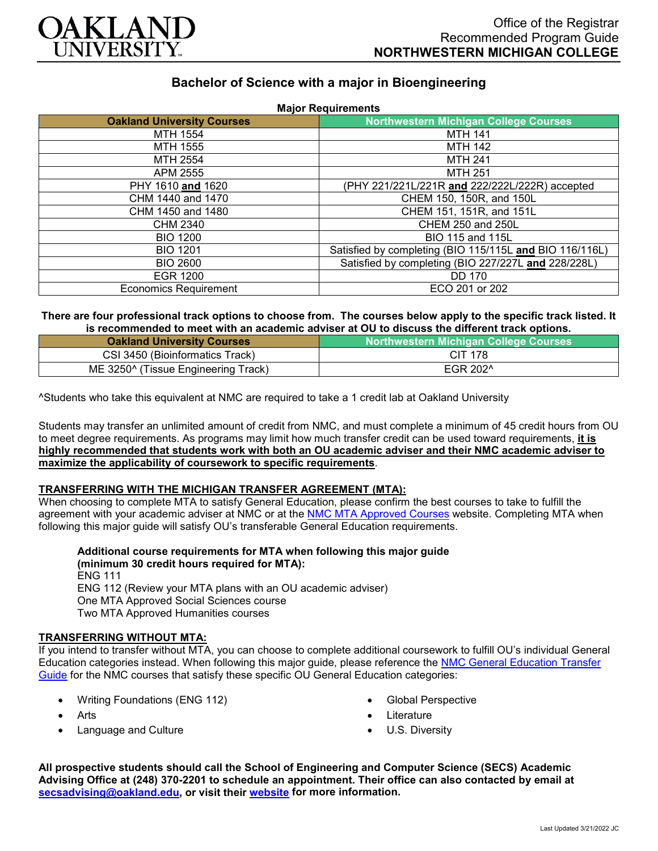

# **Bachelor of Science with a major in Bioengineering**

| <b>Major Requirements</b>         |                                                         |
|-----------------------------------|---------------------------------------------------------|
| <b>Oakland University Courses</b> | <b>Northwestern Michigan College Courses</b>            |
| MTH 1554                          | <b>MTH 141</b>                                          |
| MTH 1555                          | <b>MTH 142</b>                                          |
| MTH 2554                          | <b>MTH 241</b>                                          |
| APM 2555                          | MTH 251                                                 |
| PHY 1610 and 1620                 | (PHY 221/221L/221R and 222/222L/222R) accepted          |
| CHM 1440 and 1470                 | CHEM 150, 150R, and 150L                                |
| CHM 1450 and 1480                 | CHEM 151, 151R, and 151L                                |
| CHM 2340                          | <b>CHEM 250 and 250L</b>                                |
| <b>BIO 1200</b>                   | <b>BIO 115 and 115L</b>                                 |
| <b>BIO 1201</b>                   | Satisfied by completing (BIO 115/115L and BIO 116/116L) |
| <b>BIO 2600</b>                   | Satisfied by completing (BIO 227/227L and 228/228L)     |
| EGR 1200                          | <b>DD 170</b>                                           |
| <b>Economics Requirement</b>      | ECO 201 or 202                                          |

#### **There are four professional track options to choose from. The courses below apply to the specific track listed. It is recommended to meet with an academic adviser at OU to discuss the different track options.**

| <b>Oakland University Courses</b>               | <b>Northwestern Michigan College Courses</b> |
|-------------------------------------------------|----------------------------------------------|
| CSI 3450 (Bioinformatics Track)                 | CIT 178                                      |
| ME 3250 <sup>^</sup> (Tissue Engineering Track) | EGR 202 <sup>^</sup>                         |

^Students who take this equivalent at NMC are required to take a 1 credit lab at Oakland University

Students may transfer an unlimited amount of credit from NMC, and must complete a minimum of 45 credit hours from OU to meet degree requirements. As programs may limit how much transfer credit can be used toward requirements, **it is highly recommended that students work with both an OU academic adviser and their NMC academic adviser to maximize the applicability of coursework to specific requirements**.

### **TRANSFERRING WITH THE MICHIGAN TRANSFER AGREEMENT (MTA):**

When choosing to complete MTA to satisfy General Education, please confirm the best courses to take to fulfill the agreement with your academic adviser at NMC or at the [NMC MTA Approved Courses](https://www.nmc.edu/programs/course-descriptions/group-1-courses-for-mta.pdf) website. Completing MTA when following this major guide will satisfy OU's transferable General Education requirements.

**Additional course requirements for MTA when following this major guide (minimum 30 credit hours required for MTA):**

ENG 111 ENG 112 (Review your MTA plans with an OU academic adviser) One MTA Approved Social Sciences course Two MTA Approved Humanities courses

## **TRANSFERRING WITHOUT MTA:**

If you intend to transfer without MTA, you can choose to complete additional coursework to fulfill OU's individual General Education categories instead. When following this major guide, please reference the [NMC General Education Transfer](https://www.oakland.edu/Assets/Oakland/program-guides/northwestern-michigan-college/university-general-education-requirements/Northwestern%20Gen%20Ed.pdf)  [Guide](https://www.oakland.edu/Assets/Oakland/program-guides/northwestern-michigan-college/university-general-education-requirements/Northwestern%20Gen%20Ed.pdf) for the NMC courses that satisfy these specific OU General Education categories:

- Writing Foundations (ENG 112)
- **Arts**
- Language and Culture
- Global Perspective
- **Literature**
- U.S. Diversity

**All prospective students should call the School of Engineering and Computer Science (SECS) Academic Advising Office at (248) 370-2201 to schedule an appointment. Their office can also contacted by email at [secsadvising@oakland.edu,](mailto:secsadvising@oakland.edu) or visit their [website](https://wwwp.oakland.edu/secs/advising/) for more information.**